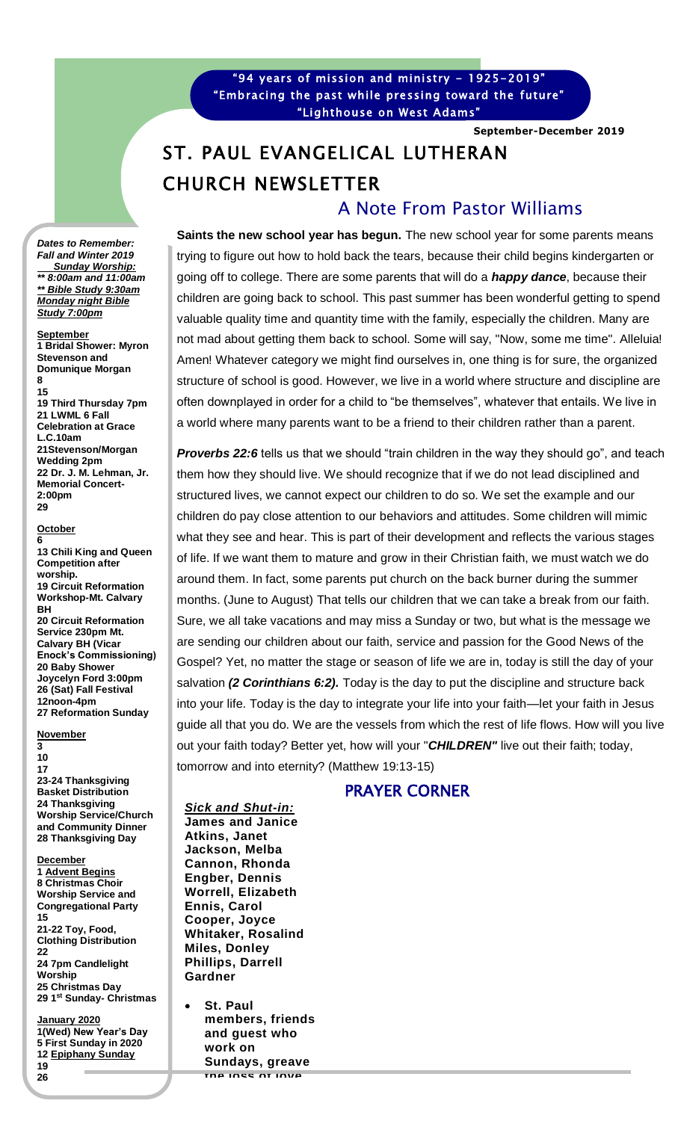"94 years of mission and ministry - 1925-2019" "Embracing the past while pressing toward the future" "Lighthouse on West Adams"

**September-December 2019**

# ST. PAUL EVANGELICAL LUTHERAN CHURCH NEWSLETTER A Note From Pastor Williams

**Saints the new school year has begun.** The new school year for some parents means trying to figure out how to hold back the tears, because their child begins kindergarten or going off to college. There are some parents that will do a *happy dance*, because their children are going back to school. This past summer has been wonderful getting to spend valuable quality time and quantity time with the family, especially the children. Many are not mad about getting them back to school. Some will say, "Now, some me time". Alleluia! Amen! Whatever category we might find ourselves in, one thing is for sure, the organized structure of school is good. However, we live in a world where structure and discipline are often downplayed in order for a child to "be themselves", whatever that entails. We live in a world where many parents want to be a friend to their children rather than a parent.

**Proverbs 22:6** tells us that we should "train children in the way they should go", and teach them how they should live. We should recognize that if we do not lead disciplined and structured lives, we cannot expect our children to do so. We set the example and our children do pay close attention to our behaviors and attitudes. Some children will mimic what they see and hear. This is part of their development and reflects the various stages of life. If we want them to mature and grow in their Christian faith, we must watch we do around them. In fact, some parents put church on the back burner during the summer months. (June to August) That tells our children that we can take a break from our faith. Sure, we all take vacations and may miss a Sunday or two, but what is the message we are sending our children about our faith, service and passion for the Good News of the Gospel? Yet, no matter the stage or season of life we are in, today is still the day of your salvation *(2 Corinthians 6:2).* Today is the day to put the discipline and structure back into your life. Today is the day to integrate your life into your faith—let your faith in Jesus guide all that you do. We are the vessels from which the rest of life flows. How will you live out your faith today? Better yet, how will your "*CHILDREN"* live out their faith; today, tomorrow and into eternity? (Matthew 19:13-15)

## PRAYER CORNER

*Let us pray; Lord God we commend your grace, love and protection*  **James and Janice** *for our Children. Especially, since they are off to another school*  **Jackson, Melba**  *year. We pray your guidance on them and for the teachers and*  **Cannon, Rhonda**  *professors. Lord, please provide whatever their needs are, in order*  **Worrell, Elizabeth**  *that they are fully equipped to live out their faith walk with you. In*  **Ennis, Carol**  *Jesus Name, Amen.* **Whitaker, Rosalind**  Gardner *Sick and Shut-in:* **Atkins, Janet Engber, Dennis Cooper, Joyce Miles, Donley Phillips, Darrell** 

• **St. Paul members, friends and guest who work on Sundays, greave the loss of love** 

*Dates to Remember: Fall and Winter 2019 Sunday Worship: \*\* 8:00am and 11:00am \*\* Bible Study 9:30am Monday night Bible Study 7:00pm*

**September 1 Bridal Shower: Myron Stevenson and Domunique Morgan 8**

**15 19 Third Thursday 7pm 21 LWML 6 Fall Celebration at Grace L.C.10am 21Stevenson/Morgan Wedding 2pm 22 Dr. J. M. Lehman, Jr. Memorial Concert-2:00pm 29**

#### **October 6**

**13 Chili King and Queen Competition after worship. 19 Circuit Reformation Workshop-Mt. Calvary BH 20 Circuit Reformation Service 230pm Mt. Calvary BH (Vicar Enock's Commissioning) 20 Baby Shower Joycelyn Ford 3:00pm 26 (Sat) Fall Festival 12noon-4pm 27 Reformation Sunday**

### **November**

#### **3 10**

**17 23-24 Thanksgiving Basket Distribution 24 Thanksgiving Worship Service/Church and Community Dinner 28 Thanksgiving Day**

**December 1 Advent Begins 8 Christmas Choir Worship Service and Congregational Party 15 21-22 Toy, Food, Clothing Distribution 22 24 7pm Candlelight Worship 25 Christmas Day 29 1 st Sunday- Christmas**

**January 2020 1(Wed) New Year's Day 5 First Sunday in 2020 12 Epiphany Sunday 19 26**

**29**